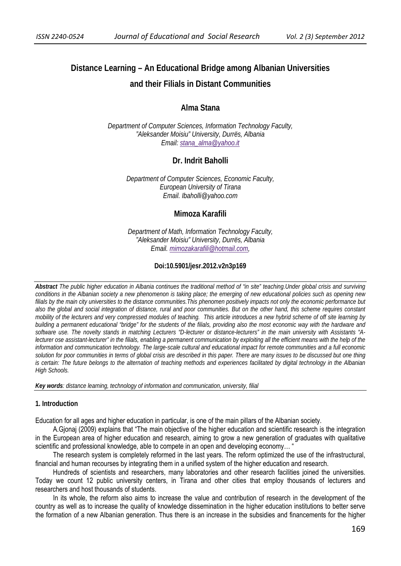# **Distance Learning – An Educational Bridge among Albanian Universities and their Filials in Distant Communities**

# **Alma Stana**

*Department of Computer Sciences, Information Technology Faculty, "Aleksander Moisiu" University, Durrës, Albania Email: stana\_alma@yahoo.it*

# **Dr. Indrit Baholli**

*Department of Computer Sciences, Economic Faculty, European University of Tirana Email. Ibaholli@yahoo.com* 

## **Mimoza Karafili**

*Department of Math, Information Technology Faculty, "Aleksander Moisiu" University, Durrës, Albania Email. mimozakarafili@hotmail.com,* 

#### **Doi:10.5901/jesr.2012.v2n3p169**

*Abstract The public higher education in Albania continues the traditional method of "in site" teaching.Under global crisis and surviving conditions in the Albanian society a new phenomenon is taking place; the emerging of new educational policies such as opening new filials by the main city universities to the distance communities.This phenomen positively impacts not only the economic performance but also the global and social integration of distance, rural and poor communities. But on the other hand, this scheme requires constant mobility of the lecturers and very compressed modules of teaching. This article introduces a new hybrid scheme of off site learning by building a permanent educational "bridge" for the students of the filials, providing also the most economic way with the hardware and software use. The novelty stands in matching Lecturers "D-lecturer or distance-lecturers" in the main university with Assistants "A*lecturer ose assistant-lecturer" in the filials, enabling a permanent communication by exploiting all the efficient means with the help of the *information and communication technology. The large-scale cultural and educational impact for remote communities and a full economic solution for poor communities in terms of global crisis are described in this paper. There are many issues to be discussed but one thing*  is certain: The future belongs to the alternation of teaching methods and experiences facilitated by digital technology in the Albanian *High Schools.* 

*Key words: distance learning, technology of information and communication, university, filial* 

## **1. Introduction**

Education for all ages and higher education in particular, is one of the main pillars of the Albanian society.

A.Gjonaj (2009) explains that "The main objective of the higher education and scientific research is the integration in the European area of higher education and research, aiming to grow a new generation of graduates with qualitative scientific and professional knowledge, able to compete in an open and developing economy... "

The research system is completely reformed in the last years. The reform optimized the use of the infrastructural, financial and human recourses by integrating them in a unified system of the higher education and research.

Hundreds of scientists and researchers, many laboratories and other research facilities joined the universities. Today we count 12 public university centers, in Tirana and other cities that employ thousands of lecturers and researchers and host thousands of students.

In its whole, the reform also aims to increase the value and contribution of research in the development of the country as well as to increase the quality of knowledge dissemination in the higher education institutions to better serve the formation of a new Albanian generation. Thus there is an increase in the subsidies and financements for the higher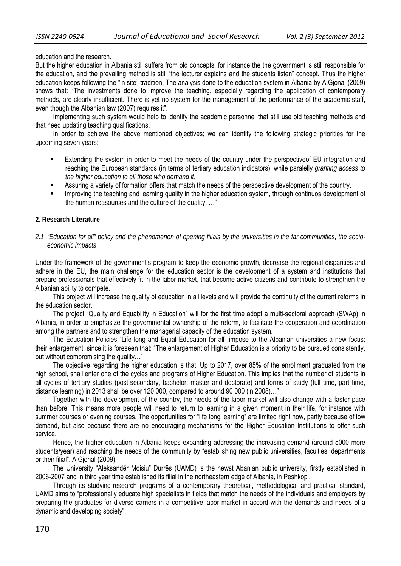#### education and the research.

But the higher education in Albania still suffers from old concepts, for instance the the government is still responsible for the education, and the prevailing method is still "the lecturer explains and the students listen" concept. Thus the higher education keeps following the "in site" tradition. The analysis done to the education system in Albania by A.Gjonaj (2009) shows that: "The investments done to improve the teaching, especially regarding the application of contemporary methods, are clearly insufficient. There is yet no system for the management of the performance of the academic staff, even though the Albanian law (2007) requires it".

Implementing such system would help to identify the academic personnel that still use old teaching methods and that need updating teaching qualifications.

In order to achieve the above mentioned objectives; we can identify the following strategic priorities for the upcoming seven years:

- Extending the system in order to meet the needs of the country under the perspectiveof EU integration and reaching the European standards (in terms of tertiary education indicators), while paralelly *granting access to the higher education to all those who demand it*.
- Assuring a variety of formation offers that match the needs of the perspective development of the country.
- Improving the teaching and learning quality in the higher education system, through continuos development of the human reasources and the culture of the quality. …"

## **2. Research Literature**

*2.1 "Education for all" policy and the phenomenon of opening filials by the universities in the far communities; the socioeconomic impacts* 

Under the framework of the government's program to keep the economic growth, decrease the regional disparities and adhere in the EU, the main challenge for the education sector is the development of a system and institutions that prepare professionals that effectively fit in the labor market, that become active citizens and contribute to strengthen the Albanian ability to compete.

This project will increase the quality of education in all levels and will provide the continuity of the current reforms in the education sector.

The project "Quality and Equability in Education" will for the first time adopt a multi-sectoral approach (SWAp) in Albania, in order to emphasize the governmental ownership of the reform, to facilitate the cooperation and coordination among the partners and to strengthen the managerial capacity of the education system.

The Education Policies "Life long and Equal Education for all" impose to the Albanian universities a new focus: their enlargement, since it is foreseen that: "The enlargement of Higher Education is a priority to be pursued consistently, but without compromising the quality…"

The objective regarding the higher education is that: Up to 2017, over 85% of the enrollment graduated from the high school, shall enter one of the cycles and programs of Higher Education. This implies that the number of students in all cycles of tertiary studies (post-secondary, bachelor, master and doctorate) and forms of study (full time, part time, distance learning) in 2013 shall be over 120 000, compared to around 90 000 (in 2008)…"

Together with the development of the country, the needs of the labor market will also change with a faster pace than before. This means more people will need to return to learning in a given moment in their life, for instance with summer courses or evening courses. The opportunities for "life long learning" are limited right now, partly because of low demand, but also because there are no encouraging mechanisms for the Higher Education Institutions to offer such service.

Hence, the higher education in Albania keeps expanding addressing the increasing demand (around 5000 more students/year) and reaching the needs of the community by "establishing new public universities, faculties, departments or their filial". A.Gjonal (2009)

The University "Aleksandër Moisiu" Durrës (UAMD) is the newst Abanian public university, firstly established in 2006-2007 and in third year time established its filial in the northeastern edge of Albania, in Peshkopi.

Through its studying-research programs of a contemporary theoretical, methodological and practical standard, UAMD aims to "professionally educate high specialists in fields that match the needs of the individuals and employers by preparing the graduates for diverse carriers in a competitive labor market in accord with the demands and needs of a dynamic and developing society".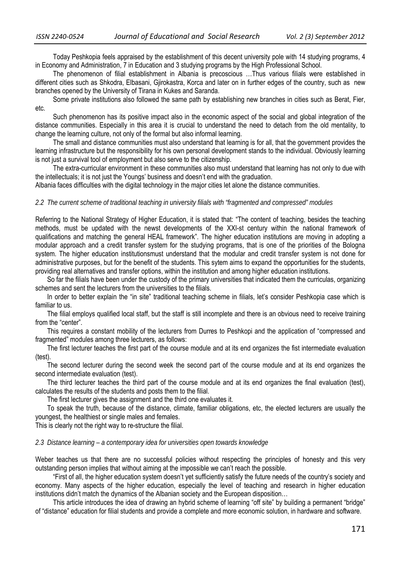Today Peshkopia feels appraised by the establishment of this decent university pole with 14 studying programs, 4 in Economy and Administration, 7 in Education and 3 studying programs by the High Professional School.

The phenomenon of filial establishment in Albania is precoscious …Thus various filials were established in different cities such as Shkodra, Elbasani, Gjirokastra, Korca and later on in further edges of the country, such as new branches opened by the University of Tirana in Kukes and Saranda.

Some private institutions also followed the same path by establishing new branches in cities such as Berat, Fier, etc.

Such phenomenon has its positive impact also in the economic aspect of the social and global integration of the distance communities. Especially in this area it is crucial to understand the need to detach from the old mentality, to change the learning culture, not only of the formal but also informal learning.

The small and distance communities must also understand that learning is for all, that the government provides the learning infrastructure but the responsibility for his own personal development stands to the individual. Obviously learning is not just a survival tool of employment but also serve to the citizenship.

The extra-curricular environment in these communities also must understand that learning has not only to due with the intellectuals; it is not just the Youngs' business and doesn't end with the graduation.

Albania faces difficulties with the digital technology in the major cities let alone the distance communities.

## *2.2 The current scheme of traditional teaching in university filials with "fragmented and compressed" modules*

Referring to the National Strategy of Higher Education, it is stated that: "The content of teaching, besides the teaching methods, must be updated with the newst developments of the XXI-st century within the national framework of qualifications and matching the general HEAL framework". The higher education institutions are moving in adopting a modular approach and a credit transfer system for the studying programs, that is one of the priorities of the Bologna system. The higher education institutionsmust understand that the modular and credit transfer system is not done for administrative purposes, but for the benefit of the students. This sytem aims to expand the opportunities for the students, providing real alternatives and transfer options, within the institution and among higher education institutions.

So far the filials have been under the custody of the primary universities that indicated them the curriculas, organizing schemes and sent the lecturers from the universities to the filials.

In order to better explain the "in site" traditional teaching scheme in filials, let's consider Peshkopia case which is familiar to us.

The filial employs qualified local staff, but the staff is still incomplete and there is an obvious need to receive training from the "center".

This requires a constant mobility of the lecturers from Durres to Peshkopi and the application of "compressed and fragmented" modules among three lecturers, as follows:

The first lecturer teaches the first part of the course module and at its end organizes the fist intermediate evaluation (test).

The second lecturer during the second week the second part of the course module and at its end organizes the second intermediate evaluation (test).

The third lecturer teaches the third part of the course module and at its end organizes the final evaluation (test), calculates the results of the students and posts them to the filial.

The first lecturer gives the assignment and the third one evaluates it.

To speak the truth, because of the distance, climate, familiar obligations, etc, the elected lecturers are usually the youngest, the healthiest or single males and females.

This is clearly not the right way to re-structure the filial.

#### *2.3 Distance learning – a contemporary idea for universities open towards knowledge*

Weber teaches us that there are no successful policies without respecting the principles of honesty and this very outstanding person implies that without aiming at the impossible we can't reach the possible.

"First of all, the higher education system doesn't yet sufficiently satisfy the future needs of the country's society and economy. Many aspects of the higher education, especially the level of teaching and research in higher education institutions didn't match the dynamics of the Albanian society and the European disposition…

This article introduces the idea of drawing an hybrid scheme of learning "off site" by building a permanent "bridge" of "distance" education for filial students and provide a complete and more economic solution, in hardware and software.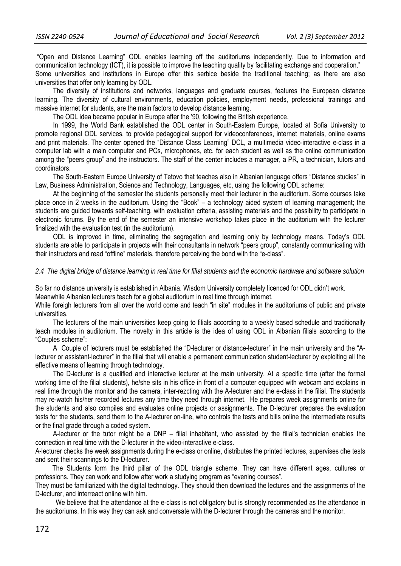"Open and Distance Learning" ODL enables learning off the auditoriums independently. Due to information and communication technology (ICT), it is possible to improve the teaching quality by facilitating exchange and cooperation." Some universities and institutions in Europe offer this serbice beside the traditional teaching; as there are also

universities that offer only learning by ODL.

The diversity of institutions and networks, languages and graduate courses, features the European distance learning. The diversity of cultural environments, education policies, employment needs, professional trainings and massive internet for students, are the main factors to develop distance learning.

The ODL idea became popular in Europe after the '90, following the British experience.

In 1999, the World Bank established the ODL center in South-Eastern Europe, located at Sofia University to promote regional ODL services, to provide pedagogical support for videoconferences, internet materials, online exams and print materials. The center opened the "Distance Class Learning" DCL, a multimedia video-interactive e-class in a computer lab with a main computer and PCs, microphones, etc, for each student as well as the online communication among the "peers group" and the instructors. The staff of the center includes a manager, a PR, a technician, tutors and coordinators.

The South-Eastern Europe University of Tetovo that teaches also in Albanian language offers "Distance studies" in Law, Business Administration, Science and Technology, Languages, etc, using the following ODL scheme:

At the beginning of the semester the students personally meet their lecturer in the auditorium. Some courses take place once in 2 weeks in the auditorium. Using the "Book" – a technology aided system of learning management; the students are guided towards self-teaching, with evaluation criteria, assisting materials and the possibility to participate in electronic forums. By the end of the semester an intensive workshop takes place in the auditorium with the lecturer finalized with the evaluation test (in the auditorium).

ODL is improved in time, eliminating the segregation and learning only by technology means. Today's ODL students are able to participate in projects with their consultants in network "peers group", constantly communicating with their instructors and read "offline" materials, therefore perceiving the bond with the "e-class".

## *2.4 The digital bridge of distance learning in real time for filial students and the economic hardware and software solution*

So far no distance university is established in Albania. Wisdom University completely licenced for ODL didn't work.

Meanwhile Albanian lecturers teach for a global auditorium in real time through internet.

While foreigh lecturers from all over the world come and teach "in site" modules in the auditoriums of public and private universities.

The lecturers of the main universities keep going to filials according to a weekly based schedule and traditionally teach modules in auditorium. The novelty in this article is the idea of using ODL in Albanian filials according to the "Couples scheme":

A Couple of lecturers must be established the "D-lecturer or distance-lecturer" in the main university and the "Alecturer or assistant-lecturer" in the filial that will enable a permanent communication student-lecturer by exploiting all the effective means of learning through technology.

The D-lecturer is a qualified and interactive lecturer at the main university. At a specific time (after the formal working time of the filial students), he/she sits in his office in front of a computer equipped with webcam and explains in real time through the monitor and the camera, inter-rezcting with the A-lecturer and the e-class in the filial. The students may re-watch his/her recorded lectures any time they need through internet. He prepares week assignments online for the students and also compiles and evaluates online projects or assignments. The D-lecturer prepares the evaluation tests for the students, send them to the A-lecturer on-line, who controls the tests and bills online the intermediate results or the final grade through a coded system.

A-lecturer or the tutor might be a DNP – filial inhabitant, who assisted by the filial's technician enables the connection in real time with the D-lecturer in the video-interactive e-class.

A-lecturer checks the week assignments during the e-class or online, distributes the printed lectures, supervises dhe tests and sent their scannings to the D-lecturer.

 The Students form the third pillar of the ODL triangle scheme. They can have different ages, cultures or professions. They can work and follow after work a studying program as "evening courses".

They must be familiarized with the digital technology. They should then download the lectures and the assignments of the D-lecturer, and interreact online with him.

We believe that the attendance at the e-class is not obligatory but is strongly recommended as the attendance in the auditoriums. In this way they can ask and conversate with the D-lecturer through the cameras and the monitor.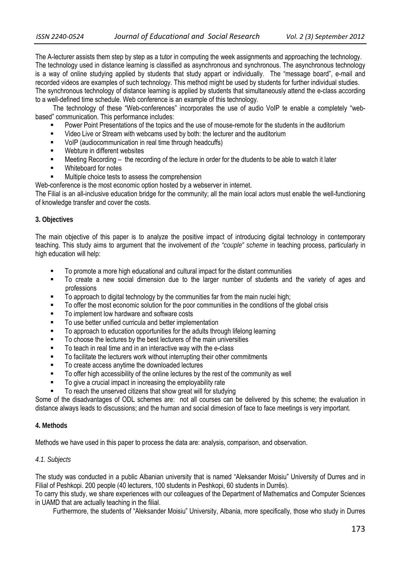The A-lecturer assists them step by step as a tutor in computing the week assignments and approaching the technology. The technology used in distance learning is classified as asynchronous and synchronous. The asynchronous technology is a way of online studying applied by students that study appart or individually. The "message board", e-mail and recorded videos are examples of such technology. This method might be used by students for further individual studies. The synchronous technology of distance learning is applied by students that simultaneously attend the e-class according to a well-defined time schedule. Web conference is an example of this technology.

The technology of these "Web-conferences" incorporates the use of audio VoIP te enable a completely "webbased" communication. This performance includes:

- Power Point Presentations of the topics and the use of mouse-remote for the students in the auditorium
- Video Live or Stream with webcams used by both: the lecturer and the auditorium
- **VolP** (audiocommunication in real time through headcuffs)
- Webture in different websites
- Meeting Recording the recording of the lecture in order for the dtudents to be able to watch it later
- **Nhiteboard for notes**
- Multiple choice tests to assess the comprehension
- Web-conference is the most economic option hosted by a webserver in internet.

The Filial is an all-inclusive education bridge for the community; all the main local actors must enable the well-functioning of knowledge transfer and cover the costs.

## **3. Objectives**

The main objective of this paper is to analyze the positive impact of introducing digital technology in contemporary teaching. This study aims to argument that the involvement of *the "couple" scheme* in teaching process, particularly in high education will help:

- To promote a more high educational and cultural impact for the distant communities
- To create a new social dimension due to the larger number of students and the variety of ages and professions
- To approach to digital technology by the communities far from the main nuclei high;
- To offer the most economic solution for the poor communities in the conditions of the global crisis
- To implement low hardware and software costs
- To use better unified curricula and better implementation
- To approach to education opportunities for the adults through lifelong learning
- To choose the lectures by the best lecturers of the main universities
- To teach in real time and in an interactive way with the e-class
- To facilitate the lecturers work without interrupting their other commitments
- To create access anytime the downloaded lectures
- To offer high accessibility of the online lectures by the rest of the community as well
- To give a crucial impact in increasing the employability rate
- To reach the unserved citizens that show great will for studying

Some of the disadvantages of ODL schemes are: not all courses can be delivered by this scheme; the evaluation in distance always leads to discussions; and the human and social dimesion of face to face meetings is very important.

## **4. Methods**

Methods we have used in this paper to process the data are: analysis, comparison, and observation.

# *4.1. Subjects*

The study was conducted in a public Albanian university that is named "Aleksander Moisiu" University of Durres and in Filial of Peshkopi. 200 people (40 lecturers, 100 students in Peshkopi, 60 students in Durrës).

To carry this study, we share experiences with our colleagues of the Department of Mathematics and Computer Sciences in UAMD that are actually teaching in the filial.

Furthermore, the students of "Aleksander Moisiu" University, Albania, more specifically, those who study in Durres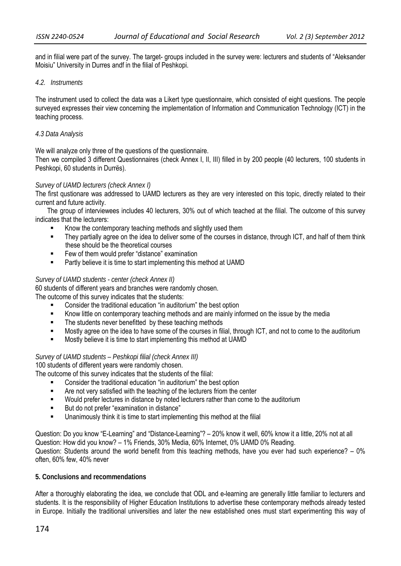and in filial were part of the survey. The target- groups included in the survey were: lecturers and students of "Aleksander Moisiu" University in Durres andf in the filial of Peshkopi.

#### *4.2. Instruments*

The instrument used to collect the data was a Likert type questionnaire, which consisted of eight questions. The people surveyed expresses their view concerning the implementation of Information and Communication Technology (ICT) in the teaching process.

#### *4.3 Data Analysis*

We will analyze only three of the questions of the questionnaire.

Then we compiled 3 different Questionnaires (check Annex I, II, III) filled in by 200 people (40 lecturers, 100 students in Peshkopi, 60 students in Durrës).

## *Survey of UAMD lecturers (check Annex I)*

The first qustionare was addressed to UAMD lecturers as they are very interested on this topic, directly related to their current and future activity.

The group of interviewees includes 40 lecturers, 30% out of which teached at the filial. The outcome of this survey indicates that the lecturers:

- Know the contemporary teaching methods and slightly used them
- They partially agree on the idea to deliver some of the courses in distance, through ICT, and half of them think these should be the theoretical courses
- **Few of them would prefer "distance" examination**
- Partly believe it is time to start implementing this method at UAMD

#### *Survey of UAMD students - center (check Annex II)*

60 students of different years and branches were randomly chosen.

The outcome of this survey indicates that the students:

- Consider the traditional education "in auditorium" the best option
- Know little on contemporary teaching methods and are mainly informed on the issue by the media
- The students never benefitted by these teaching methods
- **EXECT** Mostly agree on the idea to have some of the courses in filial, through ICT, and not to come to the auditorium
- Mostly believe it is time to start implementing this method at UAMD

## *Survey of UAMD students – Peshkopi filial (check Annex III)*

100 students of different years were randomly chosen.

- The outcome of this survey indicates that the students of the filial:
	- Consider the traditional education "in auditorium" the best option
	- Are not very satisfied with the teaching of the lecturers friom the center
	- **Would prefer lectures in distance by noted lecturers rather than come to the auditorium**
	- But do not prefer "examination in distance"
	- Unanimously think it is time to start implementing this method at the filial

Question: Do you know "E-Learning" and "Distance-Learning"? – 20% know it well, 60% know it a little, 20% not at all Question: How did you know? – 1% Friends, 30% Media, 60% Internet, 0% UAMD 0% Reading. Question: Students around the world benefit from this teaching methods, have you ever had such experience? – 0% often, 60% few, 40% never

#### **5. Conclusions and recommendations**

After a thoroughly elaborating the idea, we conclude that ODL and e-learning are generally little familiar to lecturers and students. It is the responsibility of Higher Education Institutions to advertise these contemporary methods already tested in Europe. Initially the traditional universities and later the new established ones must start experimenting this way of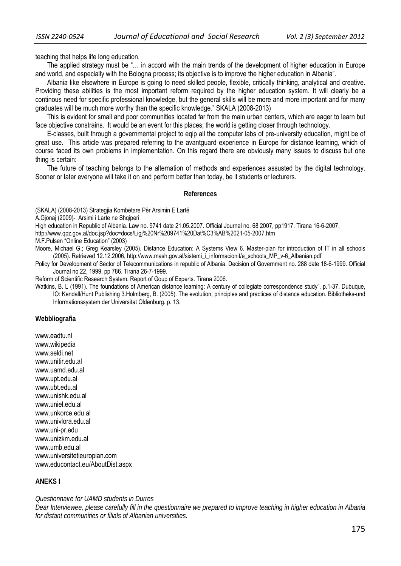teaching that helps life long education.

The applied strategy must be "… in accord with the main trends of the development of higher education in Europe and world, and especially with the Bologna process; its objective is to improve the higher education in Albania".

Albania like elsewhere in Europe is going to need skilled people, flexible, critically thinking, analytical and creative. Providing these abilities is the most important reform required by the higher education system. It will clearly be a continous need for specific professional knowledge, but the general skills will be more and more important and for many graduates will be much more worthy than the specific knowledge." SKALA (2008-2013)

This is evident for small and poor communities located far from the main urban centers, which are eager to learn but face objective constrains. It would be an event for this places; the world is getting closer through technology.

E-classes, built through a governmental project to eqip all the computer labs of pre-university education, might be of great use. This article was prepared referring to the avantguard experience in Europe for distance learning, which of course faced its own problems in implementation. On this regard there are obviously many issues to discuss but one thing is certain:

The future of teaching belongs to the alternation of methods and experiences assusted by the digital technology. Sooner or later everyone will take it on and perform better than today, be it students or lecturers.

#### **References**

(SKALA) (2008-2013) Strategjia Kombëtare Për Arsimin E Lartë

A.Gjonaj (2009)- Arsimi i Larte ne Shqiperi

High education in Republic of Albania. Law no. 9741 date 21.05.2007. Official Journal no. 68 2007, pp1917. Tirana 16-6-2007.

http://www.qpz.gov.al/doc.jsp?doc=docs/Ligj%20Nr%209741%20Dat%C3%AB%2021-05-2007.htm

M.F.Pulsen "Online Education" (2003)

Moore, Michael G.; Greg Kearsley (2005). Distance Education: A Systems View 6. Master-plan for introduction of IT in all schools (2005). Retrieved 12.12.2006, http://www.mash.gov.al/sistemi\_i\_informacionit/e\_schools\_MP\_v-6\_Albanian.pdf

Policy for Development of Sector of Telecommunications in republic of Albania. Decision of Government no. 288 date 18-6-1999. Official Journal no 22, 1999, pp 786. Tirana 26-7-1999.

Reform of Scientific Research System. Report of Goup of Experts. Tirana 2006.

Watkins, B. L (1991). The foundations of American distance learning: A century of collegiate correspondence study", p.1-37. Dubuque, IO: Kendall/Hunt Publishing 3.Holmberg, B. (2005). The evolution, principles and practices of distance education. Bibliotheks-und Informationssystem der Universitat Oldenburg. p. 13.

**Webbliografia**

www.eadtu.nl www.wikipedia www.seldi.net www.unitir.edu.al www.uamd.edu.al www.upt.edu.al www.ubt.edu.al www.unishk.edu.al www.uniel.edu.al www.unkorce.edu.al www.univlora.edu.al www.uni-pr.edu www.unizkm.edu.al www.umb.edu.al www.universitetieuropian.com www.educontact.eu/AboutDist.aspx

# **ANEKS I**

*Questionnaire for UAMD students in Durres* 

*Dear Interviewee, please carefully fill in the questionnaire we prepared to improve teaching in higher education in Albania for distant communities or filials of Albanian universities.*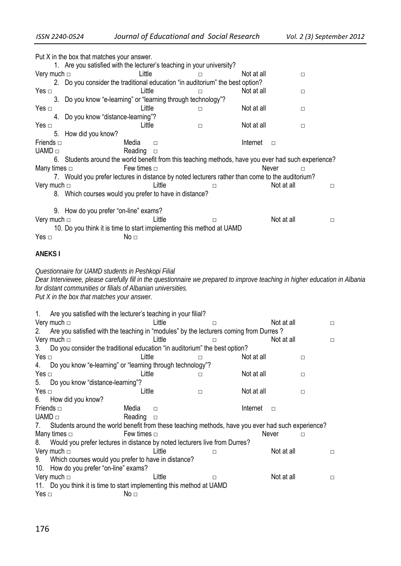| 1. Are you satisfied with the lecturer's teaching in your university?                                                                                                                       |  |
|---------------------------------------------------------------------------------------------------------------------------------------------------------------------------------------------|--|
| Very much $\Box$<br>Little<br>Not at all<br>П<br>$\Box$                                                                                                                                     |  |
| 2. Do you consider the traditional education "in auditorium" the best option?                                                                                                               |  |
| Yes $\Box$<br>Little<br>Not at all<br>$\Box$<br>□                                                                                                                                           |  |
| 3. Do you know "e-learning" or "learning through technology"?                                                                                                                               |  |
| Little<br>Not at all<br>Yes $\Box$<br>□<br>□                                                                                                                                                |  |
| 4. Do you know "distance-learning"?                                                                                                                                                         |  |
| Yes $\Box$<br>Little<br>Not at all<br>□<br>$\Box$                                                                                                                                           |  |
| How did you know?<br>5.                                                                                                                                                                     |  |
| Media<br>Friends $\Box$<br>Internet<br>$\Box$<br>$\Box$                                                                                                                                     |  |
| $UAMD \sqcap$<br>Reading<br>$\Box$                                                                                                                                                          |  |
| 6. Students around the world benefit from this teaching methods, have you ever had such experience?                                                                                         |  |
| Many times $\Box$<br>Few times $\Box$<br>Never                                                                                                                                              |  |
| 7. Would you prefer lectures in distance by noted lecturers rather than come to the auditorium?                                                                                             |  |
| Very much $\Box$<br>Little<br>Not at all<br>$\Box$<br>□                                                                                                                                     |  |
| 8. Which courses would you prefer to have in distance?                                                                                                                                      |  |
|                                                                                                                                                                                             |  |
| 9. How do you prefer "on-line" exams?                                                                                                                                                       |  |
| Little<br>Very much $\Box$<br>Not at all<br>$\Box$<br>□                                                                                                                                     |  |
| 10. Do you think it is time to start implementing this method at UAMD                                                                                                                       |  |
| Yes $\Box$<br>No <sub>□</sub>                                                                                                                                                               |  |
|                                                                                                                                                                                             |  |
| <b>ANEKSI</b>                                                                                                                                                                               |  |
|                                                                                                                                                                                             |  |
|                                                                                                                                                                                             |  |
| Questionnaire for UAMD students in Peshkopi Filial                                                                                                                                          |  |
|                                                                                                                                                                                             |  |
| Dear Interviewee, please carefully fill in the questionnaire we prepared to improve teaching in higher education in Albania<br>for distant communities or filials of Albanian universities. |  |
|                                                                                                                                                                                             |  |
| Put X in the box that matches your answer.                                                                                                                                                  |  |
| 1.                                                                                                                                                                                          |  |
| Are you satisfied with the lecturer's teaching in your filial?<br>Little<br>Not at all<br>П<br>П                                                                                            |  |
| Very much $\Box$                                                                                                                                                                            |  |
| Are you satisfied with the teaching in "modules" by the lecturers coming from Durres?<br>2.                                                                                                 |  |
| Very much $\Box$<br>Little<br>Not at all<br>$\Box$<br>□                                                                                                                                     |  |
| Do you consider the traditional education "in auditorium" the best option?<br>3.                                                                                                            |  |
| Yes $\Box$<br>Little<br>Not at all<br>□<br>□                                                                                                                                                |  |
| Do you know "e-learning" or "learning through technology"?<br>4.                                                                                                                            |  |
| Yes $\Box$<br>Little<br>Not at all<br>$\Box$<br>□                                                                                                                                           |  |
| 5.<br>Do you know "distance-learning"?                                                                                                                                                      |  |
| Yes $\Box$<br>Little<br>Not at all<br>$\Box$<br>□                                                                                                                                           |  |
| 6.<br>How did you know?                                                                                                                                                                     |  |
| Media<br>Internet<br>Friends $\Box$<br>$\Box$<br>$\Box$                                                                                                                                     |  |
| UAMD $\Box$<br>Reading<br>$\Box$                                                                                                                                                            |  |
| Students around the world benefit from these teaching methods, have you ever had such experience?<br>7.                                                                                     |  |
| Few times $\Box$<br>Many times $\Box$<br>Never<br>$\Box$                                                                                                                                    |  |
| Would you prefer lectures in distance by noted lecturers live from Durres?<br>8.                                                                                                            |  |
| Very much $\Box$<br>Not at all<br>Little<br>□<br>□                                                                                                                                          |  |
| Which courses would you prefer to have in distance?<br>9.                                                                                                                                   |  |
| 10. How do you prefer "on-line" exams?                                                                                                                                                      |  |
| Very much $\Box$<br>Little<br>Not at all<br>$\Box$<br>$\Box$                                                                                                                                |  |
| 11. Do you think it is time to start implementing this method at UAMD                                                                                                                       |  |